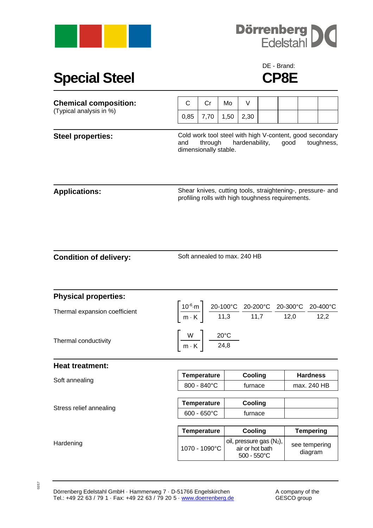



## Special Steel **CP8E**

## DE - Brand:

| <b>Chemical composition:</b>  | $\mathsf{C}$                                                                                                                                | Cr                                | Mo   | V                                                         |                                                                                                                                                                                                                                                                       |  |                                |  |  |
|-------------------------------|---------------------------------------------------------------------------------------------------------------------------------------------|-----------------------------------|------|-----------------------------------------------------------|-----------------------------------------------------------------------------------------------------------------------------------------------------------------------------------------------------------------------------------------------------------------------|--|--------------------------------|--|--|
| (Typical analysis in %)       | 0,85                                                                                                                                        | 7,70                              | 1,50 | 2,30                                                      |                                                                                                                                                                                                                                                                       |  |                                |  |  |
| <b>Steel properties:</b>      | Cold work tool steel with high V-content, good secondary<br>through<br>hardenability,<br>and<br>good<br>toughness,<br>dimensionally stable. |                                   |      |                                                           |                                                                                                                                                                                                                                                                       |  |                                |  |  |
| <b>Applications:</b>          | Shear knives, cutting tools, straightening-, pressure- and<br>profiling rolls with high toughness requirements.                             |                                   |      |                                                           |                                                                                                                                                                                                                                                                       |  |                                |  |  |
| <b>Condition of delivery:</b> | Soft annealed to max. 240 HB                                                                                                                |                                   |      |                                                           |                                                                                                                                                                                                                                                                       |  |                                |  |  |
| <b>Physical properties:</b>   |                                                                                                                                             |                                   |      |                                                           |                                                                                                                                                                                                                                                                       |  |                                |  |  |
| Thermal expansion coefficient |                                                                                                                                             |                                   |      |                                                           | $\left\lceil \frac{10^{-6} \text{ m}}{\text{m} \cdot \text{K}} \right\rceil \frac{20 \cdot 100^{\circ} \text{C}}{11,3} \frac{20 \cdot 200^{\circ} \text{C}}{11,7} \frac{20 \cdot 300^{\circ} \text{C}}{12,0} \frac{20 \cdot 400^{\circ} \text{C}}{12,2} \right\rceil$ |  |                                |  |  |
| Thermal conductivity          | $\left \frac{W}{m\cdot K}\right  \frac{20^{\circ}C}{24,8}$                                                                                  |                                   |      |                                                           |                                                                                                                                                                                                                                                                       |  |                                |  |  |
| <b>Heat treatment:</b>        |                                                                                                                                             |                                   |      |                                                           |                                                                                                                                                                                                                                                                       |  |                                |  |  |
| Soft annealing                |                                                                                                                                             | <b>Temperature</b><br>800 - 840°C |      | Cooling<br>furnace                                        |                                                                                                                                                                                                                                                                       |  | <b>Hardness</b><br>max. 240 HB |  |  |
|                               |                                                                                                                                             |                                   |      |                                                           |                                                                                                                                                                                                                                                                       |  |                                |  |  |
| Stress relief annealing       |                                                                                                                                             | <b>Temperature</b>                |      | Cooling                                                   |                                                                                                                                                                                                                                                                       |  |                                |  |  |
|                               | $600 - 650^{\circ}C$                                                                                                                        |                                   |      | furnace                                                   |                                                                                                                                                                                                                                                                       |  |                                |  |  |
|                               |                                                                                                                                             | <b>Temperature</b>                |      | Cooling                                                   |                                                                                                                                                                                                                                                                       |  | <b>Tempering</b>               |  |  |
| Hardening                     |                                                                                                                                             | 1070 - 1090°C                     |      | oil, pressure gas (N2),<br>air or hot bath<br>500 - 550°C |                                                                                                                                                                                                                                                                       |  | see tempering<br>diagram       |  |  |

02/17